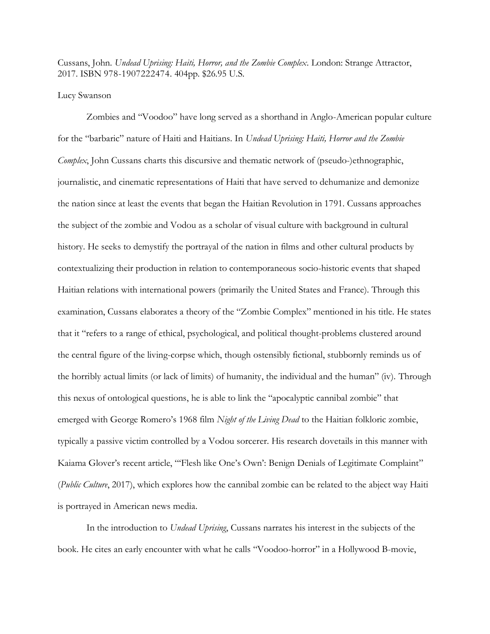Cussans, John. *Undead Uprising: Haiti, Horror, and the Zombie Complex*. London: Strange Attractor, 2017. ISBN 978-1907222474. 404pp. \$26.95 U.S.

## Lucy Swanson

Zombies and "Voodoo" have long served as a shorthand in Anglo-American popular culture for the "barbaric" nature of Haiti and Haitians. In *Undead Uprising: Haiti, Horror and the Zombie Complex*, John Cussans charts this discursive and thematic network of (pseudo-)ethnographic, journalistic, and cinematic representations of Haiti that have served to dehumanize and demonize the nation since at least the events that began the Haitian Revolution in 1791. Cussans approaches the subject of the zombie and Vodou as a scholar of visual culture with background in cultural history. He seeks to demystify the portrayal of the nation in films and other cultural products by contextualizing their production in relation to contemporaneous socio-historic events that shaped Haitian relations with international powers (primarily the United States and France). Through this examination, Cussans elaborates a theory of the "Zombie Complex" mentioned in his title. He states that it "refers to a range of ethical, psychological, and political thought-problems clustered around the central figure of the living-corpse which, though ostensibly fictional, stubbornly reminds us of the horribly actual limits (or lack of limits) of humanity, the individual and the human" (iv). Through this nexus of ontological questions, he is able to link the "apocalyptic cannibal zombie" that emerged with George Romero's 1968 film *Night of the Living Dead* to the Haitian folkloric zombie, typically a passive victim controlled by a Vodou sorcerer. His research dovetails in this manner with Kaiama Glover's recent article, "'Flesh like One's Own': Benign Denials of Legitimate Complaint" (*Public Culture*, 2017), which explores how the cannibal zombie can be related to the abject way Haiti is portrayed in American news media.

In the introduction to *Undead Uprising*, Cussans narrates his interest in the subjects of the book. He cites an early encounter with what he calls "Voodoo-horror" in a Hollywood B-movie,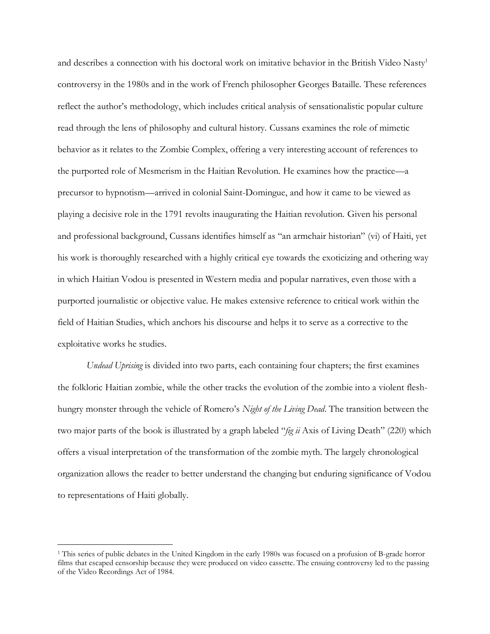and describes a connection with his doctoral work on imitative behavior in the British Video Nasty<sup>1</sup> controversy in the 1980s and in the work of French philosopher Georges Bataille. These references reflect the author's methodology, which includes critical analysis of sensationalistic popular culture read through the lens of philosophy and cultural history. Cussans examines the role of mimetic behavior as it relates to the Zombie Complex, offering a very interesting account of references to the purported role of Mesmerism in the Haitian Revolution. He examines how the practice—a precursor to hypnotism—arrived in colonial Saint-Domingue, and how it came to be viewed as playing a decisive role in the 1791 revolts inaugurating the Haitian revolution. Given his personal and professional background, Cussans identifies himself as "an armchair historian" (vi) of Haiti, yet his work is thoroughly researched with a highly critical eye towards the exoticizing and othering way in which Haitian Vodou is presented in Western media and popular narratives, even those with a purported journalistic or objective value. He makes extensive reference to critical work within the field of Haitian Studies, which anchors his discourse and helps it to serve as a corrective to the exploitative works he studies.

*Undead Uprising* is divided into two parts, each containing four chapters; the first examines the folkloric Haitian zombie, while the other tracks the evolution of the zombie into a violent fleshhungry monster through the vehicle of Romero's *Night of the Living Dead*. The transition between the two major parts of the book is illustrated by a graph labeled "*fig ii* Axis of Living Death" (220) which offers a visual interpretation of the transformation of the zombie myth. The largely chronological organization allows the reader to better understand the changing but enduring significance of Vodou to representations of Haiti globally.

 $\overline{a}$ 

<sup>1</sup> This series of public debates in the United Kingdom in the early 1980s was focused on a profusion of B-grade horror films that escaped censorship because they were produced on video cassette. The ensuing controversy led to the passing of the Video Recordings Act of 1984.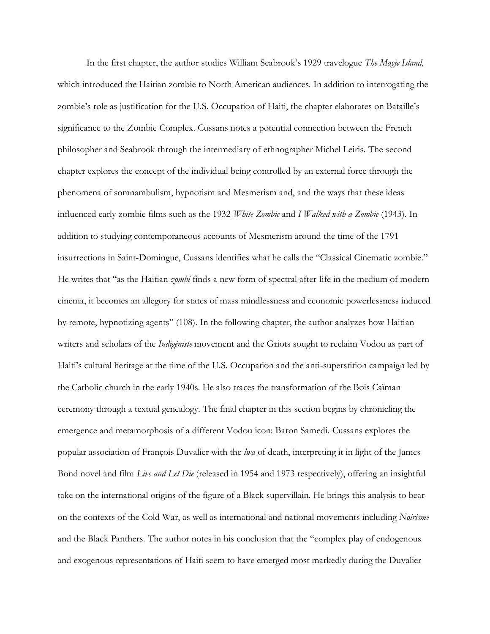In the first chapter, the author studies William Seabrook's 1929 travelogue *The Magic Island*, which introduced the Haitian zombie to North American audiences. In addition to interrogating the zombie's role as justification for the U.S. Occupation of Haiti, the chapter elaborates on Bataille's significance to the Zombie Complex. Cussans notes a potential connection between the French philosopher and Seabrook through the intermediary of ethnographer Michel Leiris. The second chapter explores the concept of the individual being controlled by an external force through the phenomena of somnambulism, hypnotism and Mesmerism and, and the ways that these ideas influenced early zombie films such as the 1932 *White Zombie* and *I Walked with a Zombie* (1943). In addition to studying contemporaneous accounts of Mesmerism around the time of the 1791 insurrections in Saint-Domingue, Cussans identifies what he calls the "Classical Cinematic zombie." He writes that "as the Haitian *zombi* finds a new form of spectral after-life in the medium of modern cinema, it becomes an allegory for states of mass mindlessness and economic powerlessness induced by remote, hypnotizing agents" (108). In the following chapter, the author analyzes how Haitian writers and scholars of the *Indigéniste* movement and the Griots sought to reclaim Vodou as part of Haiti's cultural heritage at the time of the U.S. Occupation and the anti-superstition campaign led by the Catholic church in the early 1940s. He also traces the transformation of the Bois Caïman ceremony through a textual genealogy. The final chapter in this section begins by chronicling the emergence and metamorphosis of a different Vodou icon: Baron Samedi. Cussans explores the popular association of François Duvalier with the *lwa* of death, interpreting it in light of the James Bond novel and film *Live and Let Die* (released in 1954 and 1973 respectively), offering an insightful take on the international origins of the figure of a Black supervillain. He brings this analysis to bear on the contexts of the Cold War, as well as international and national movements including *Noirisme* and the Black Panthers. The author notes in his conclusion that the "complex play of endogenous and exogenous representations of Haiti seem to have emerged most markedly during the Duvalier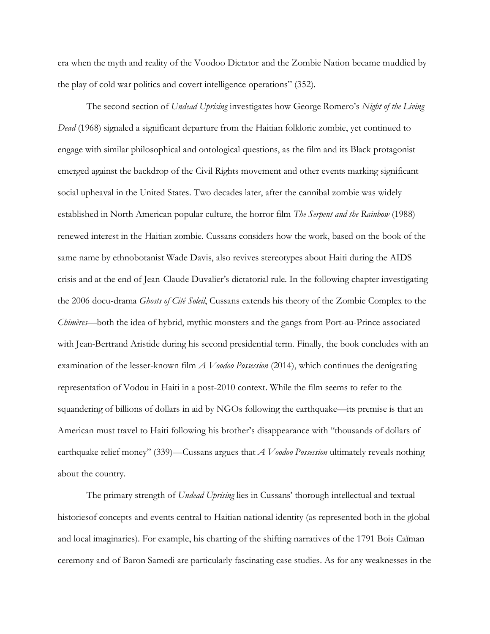era when the myth and reality of the Voodoo Dictator and the Zombie Nation became muddied by the play of cold war politics and covert intelligence operations" (352).

The second section of *Undead Uprising* investigates how George Romero's *Night of the Living Dead* (1968) signaled a significant departure from the Haitian folkloric zombie, yet continued to engage with similar philosophical and ontological questions, as the film and its Black protagonist emerged against the backdrop of the Civil Rights movement and other events marking significant social upheaval in the United States. Two decades later, after the cannibal zombie was widely established in North American popular culture, the horror film *The Serpent and the Rainbow* (1988) renewed interest in the Haitian zombie. Cussans considers how the work, based on the book of the same name by ethnobotanist Wade Davis, also revives stereotypes about Haiti during the AIDS crisis and at the end of Jean-Claude Duvalier's dictatorial rule. In the following chapter investigating the 2006 docu-drama *Ghosts of Cité Soleil*, Cussans extends his theory of the Zombie Complex to the *Chimères*—both the idea of hybrid, mythic monsters and the gangs from Port-au-Prince associated with Jean-Bertrand Aristide during his second presidential term. Finally, the book concludes with an examination of the lesser-known film *A Voodoo Possession* (2014), which continues the denigrating representation of Vodou in Haiti in a post-2010 context. While the film seems to refer to the squandering of billions of dollars in aid by NGOs following the earthquake—its premise is that an American must travel to Haiti following his brother's disappearance with "thousands of dollars of earthquake relief money" (339)—Cussans argues that *A Voodoo Possession* ultimately reveals nothing about the country.

The primary strength of *Undead Uprising* lies in Cussans' thorough intellectual and textual historiesof concepts and events central to Haitian national identity (as represented both in the global and local imaginaries). For example, his charting of the shifting narratives of the 1791 Bois Caïman ceremony and of Baron Samedi are particularly fascinating case studies. As for any weaknesses in the